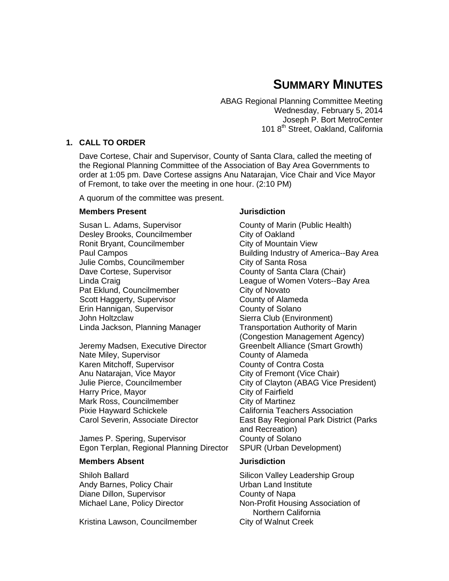# **SUMMARY MINUTES**

ABAG Regional Planning Committee Meeting Wednesday, February 5, 2014 Joseph P. Bort MetroCenter 101 8<sup>th</sup> Street, Oakland, California

# **1. CALL TO ORDER**

Dave Cortese, Chair and Supervisor, County of Santa Clara, called the meeting of the Regional Planning Committee of the Association of Bay Area Governments to order at 1:05 pm. Dave Cortese assigns Anu Natarajan, Vice Chair and Vice Mayor of Fremont, to take over the meeting in one hour. (2:10 PM)

A quorum of the committee was present.

#### **Members Present** *Jurisdiction*

Susan L. Adams, Supervisor **County of Marin (Public Health)** Desley Brooks, Councilmember City of Oakland Ronit Bryant, Councilmember City of Mountain View Julie Combs, Councilmember City of Santa Rosa Dave Cortese, Supervisor County of Santa Clara (Chair) Pat Eklund, Councilmember City of Novato Scott Haggerty, Supervisor County of Alameda Erin Hannigan, Supervisor County of Solano John Holtzclaw Sierra Club (Environment) Linda Jackson, Planning Manager Transportation Authority of Marin

Jeremy Madsen, Executive Director Greenbelt Alliance (Smart Growth) Nate Miley, Supervisor **Nate Miley, Supervisor** County of Alameda Karen Mitchoff, Supervisor County of Contra Costa Anu Natarajan, Vice Mayor **City of Fremont (Vice Chair)** Harry Price, Mayor City of Fairfield Mark Ross, Councilmember City of Martinez Pixie Hayward Schickele **California Teachers Association** 

James P. Spering, Supervisor County of Solano Egon Terplan, Regional Planning Director SPUR (Urban Development)

#### **Members Absent Jurisdiction**

Andy Barnes, Policy Chair **National Example 2** Urban Land Institute Diane Dillon, Supervisor County of Napa

Kristina Lawson, Councilmember City of Walnut Creek

Paul Campos Building Industry of America--Bay Area Linda Craig League of Women Voters--Bay Area (Congestion Management Agency) Julie Pierce, Councilmember City of Clayton (ABAG Vice President) Carol Severin, Associate Director East Bay Regional Park District (Parks and Recreation)

Shiloh Ballard Silicon Valley Leadership Group Michael Lane, Policy Director Non-Profit Housing Association of Northern California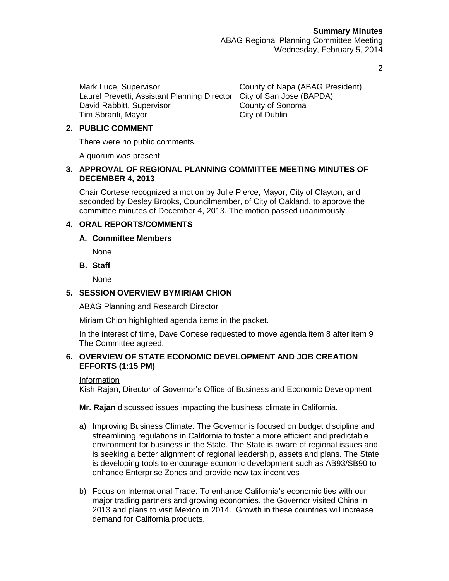Mark Luce, Supervisor County of Napa (ABAG President) Laurel Prevetti, Assistant Planning Director City of San Jose (BAPDA) David Rabbitt, Supervisor County of Sonoma Tim Sbranti, Mayor City of Dublin

# **2. PUBLIC COMMENT**

There were no public comments.

A quorum was present.

#### **3. APPROVAL OF REGIONAL PLANNING COMMITTEE MEETING MINUTES OF DECEMBER 4, 2013**

Chair Cortese recognized a motion by Julie Pierce, Mayor, City of Clayton, and seconded by Desley Brooks, Councilmember, of City of Oakland, to approve the committee minutes of December 4, 2013. The motion passed unanimously.

# **4. ORAL REPORTS/COMMENTS**

# **A. Committee Members**

None

**B. Staff**

None

# **5. SESSION OVERVIEW BYMIRIAM CHION**

ABAG Planning and Research Director

Miriam Chion highlighted agenda items in the packet.

In the interest of time, Dave Cortese requested to move agenda item 8 after item 9 The Committee agreed.

# **6. OVERVIEW OF STATE ECONOMIC DEVELOPMENT AND JOB CREATION EFFORTS (1:15 PM)**

# Information

Kish Rajan, Director of Governor's Office of Business and Economic Development

**Mr. Rajan** discussed issues impacting the business climate in California.

- a) Improving Business Climate: The Governor is focused on budget discipline and streamlining regulations in California to foster a more efficient and predictable environment for business in the State. The State is aware of regional issues and is seeking a better alignment of regional leadership, assets and plans. The State is developing tools to encourage economic development such as AB93/SB90 to enhance Enterprise Zones and provide new tax incentives
- b) Focus on International Trade: To enhance California's economic ties with our major trading partners and growing economies, the Governor visited China in 2013 and plans to visit Mexico in 2014. Growth in these countries will increase demand for California products.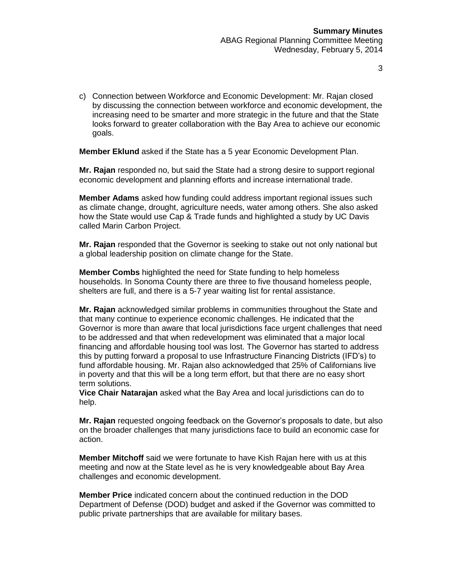c) Connection between Workforce and Economic Development: Mr. Rajan closed by discussing the connection between workforce and economic development, the increasing need to be smarter and more strategic in the future and that the State looks forward to greater collaboration with the Bay Area to achieve our economic goals.

**Member Eklund** asked if the State has a 5 year Economic Development Plan.

**Mr. Rajan** responded no, but said the State had a strong desire to support regional economic development and planning efforts and increase international trade.

**Member Adams** asked how funding could address important regional issues such as climate change, drought, agriculture needs, water among others. She also asked how the State would use Cap & Trade funds and highlighted a study by UC Davis called Marin Carbon Project.

**Mr. Rajan** responded that the Governor is seeking to stake out not only national but a global leadership position on climate change for the State.

**Member Combs** highlighted the need for State funding to help homeless households. In Sonoma County there are three to five thousand homeless people, shelters are full, and there is a 5-7 year waiting list for rental assistance.

**Mr. Rajan** acknowledged similar problems in communities throughout the State and that many continue to experience economic challenges. He indicated that the Governor is more than aware that local jurisdictions face urgent challenges that need to be addressed and that when redevelopment was eliminated that a major local financing and affordable housing tool was lost. The Governor has started to address this by putting forward a proposal to use Infrastructure Financing Districts (IFD's) to fund affordable housing. Mr. Rajan also acknowledged that 25% of Californians live in poverty and that this will be a long term effort, but that there are no easy short term solutions.

**Vice Chair Natarajan** asked what the Bay Area and local jurisdictions can do to help.

**Mr. Rajan** requested ongoing feedback on the Governor's proposals to date, but also on the broader challenges that many jurisdictions face to build an economic case for action.

**Member Mitchoff** said we were fortunate to have Kish Rajan here with us at this meeting and now at the State level as he is very knowledgeable about Bay Area challenges and economic development.

**Member Price** indicated concern about the continued reduction in the DOD Department of Defense (DOD) budget and asked if the Governor was committed to public private partnerships that are available for military bases.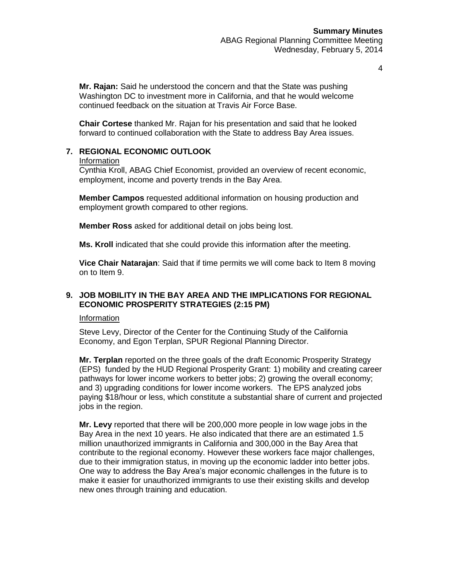**Mr. Rajan:** Said he understood the concern and that the State was pushing Washington DC to investment more in California, and that he would welcome continued feedback on the situation at Travis Air Force Base.

**Chair Cortese** thanked Mr. Rajan for his presentation and said that he looked forward to continued collaboration with the State to address Bay Area issues.

# **7. REGIONAL ECONOMIC OUTLOOK**

#### Information

Cynthia Kroll, ABAG Chief Economist, provided an overview of recent economic, employment, income and poverty trends in the Bay Area.

**Member Campos** requested additional information on housing production and employment growth compared to other regions.

**Member Ross** asked for additional detail on jobs being lost.

**Ms. Kroll** indicated that she could provide this information after the meeting.

**Vice Chair Natarajan**: Said that if time permits we will come back to Item 8 moving on to Item 9.

# **9. JOB MOBILITY IN THE BAY AREA AND THE IMPLICATIONS FOR REGIONAL ECONOMIC PROSPERITY STRATEGIES (2:15 PM)**

#### Information

Steve Levy, Director of the Center for the Continuing Study of the California Economy, and Egon Terplan, SPUR Regional Planning Director.

**Mr. Terplan** reported on the three goals of the draft Economic Prosperity Strategy (EPS) funded by the HUD Regional Prosperity Grant: 1) mobility and creating career pathways for lower income workers to better jobs; 2) growing the overall economy; and 3) upgrading conditions for lower income workers. The EPS analyzed jobs paying \$18/hour or less, which constitute a substantial share of current and projected jobs in the region.

**Mr. Levy** reported that there will be 200,000 more people in low wage jobs in the Bay Area in the next 10 years. He also indicated that there are an estimated 1.5 million unauthorized immigrants in California and 300,000 in the Bay Area that contribute to the regional economy. However these workers face major challenges, due to their immigration status, in moving up the economic ladder into better jobs. One way to address the Bay Area's major economic challenges in the future is to make it easier for unauthorized immigrants to use their existing skills and develop new ones through training and education.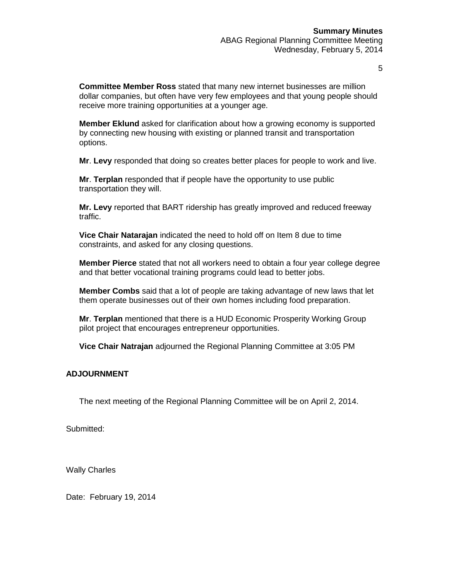**Committee Member Ross** stated that many new internet businesses are million dollar companies, but often have very few employees and that young people should receive more training opportunities at a younger age.

**Member Eklund** asked for clarification about how a growing economy is supported by connecting new housing with existing or planned transit and transportation options.

**Mr**. **Levy** responded that doing so creates better places for people to work and live.

**Mr**. **Terplan** responded that if people have the opportunity to use public transportation they will.

**Mr. Levy** reported that BART ridership has greatly improved and reduced freeway traffic.

**Vice Chair Natarajan** indicated the need to hold off on Item 8 due to time constraints, and asked for any closing questions.

**Member Pierce** stated that not all workers need to obtain a four year college degree and that better vocational training programs could lead to better jobs.

**Member Combs** said that a lot of people are taking advantage of new laws that let them operate businesses out of their own homes including food preparation.

**Mr**. **Terplan** mentioned that there is a HUD Economic Prosperity Working Group pilot project that encourages entrepreneur opportunities.

**Vice Chair Natrajan** adjourned the Regional Planning Committee at 3:05 PM

#### **ADJOURNMENT**

The next meeting of the Regional Planning Committee will be on April 2, 2014.

Submitted:

Wally Charles

Date: February 19, 2014